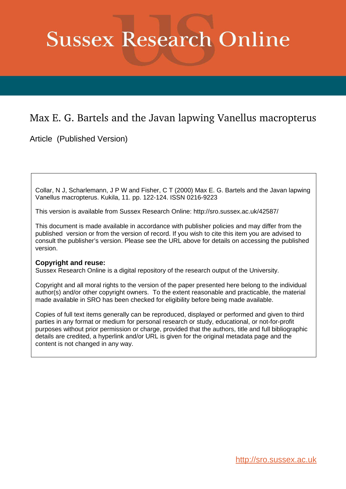# **Sussex Research Online**

## Max E. G. Bartels and the Javan lapwing Vanellus macropterus

Article (Published Version)

Collar, N J, Scharlemann, J P W and Fisher, C T (2000) Max E. G. Bartels and the Javan lapwing Vanellus macropterus. Kukila, 11. pp. 122-124. ISSN 0216-9223

This version is available from Sussex Research Online: http://sro.sussex.ac.uk/42587/

This document is made available in accordance with publisher policies and may differ from the published version or from the version of record. If you wish to cite this item you are advised to consult the publisher's version. Please see the URL above for details on accessing the published version.

### **Copyright and reuse:**

Sussex Research Online is a digital repository of the research output of the University.

Copyright and all moral rights to the version of the paper presented here belong to the individual author(s) and/or other copyright owners. To the extent reasonable and practicable, the material made available in SRO has been checked for eligibility before being made available.

Copies of full text items generally can be reproduced, displayed or performed and given to third parties in any format or medium for personal research or study, educational, or not-for-profit purposes without prior permission or charge, provided that the authors, title and full bibliographic details are credited, a hyperlink and/or URL is given for the original metadata page and the content is not changed in any way.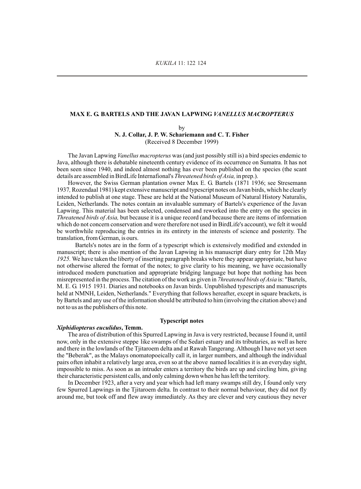#### **MAX E. G. BARTELS AND THE JAVAN LAPWING** *VANELLUS MACROPTERUS*

by **N. J. Collar, J. P. W. Schariemann and C. T. Fisher**  (Received 8 December 1999)

The Javan Lapwing *Vanellus macropterus* was (and just possibly still is) a bird species endemic to Java, although there is debatable nineteenth century evidence of its occurrence on Sumatra. It has not been seen since 1940, and indeed almost nothing has ever been published on the species (the scant details are assembled in BirdLife Internafional's *Threatened birds of Asia,* in prep.).

However, the Swiss German plantation owner Max E. G. Bartels (1871 1936; see Stresemann 1937*,* Rozendaal 1981) kept extensive manuscript and typescript notes on Javan birds, which he clearly intended to publish at one stage. These are held at the National Museum of Natural History Naturalis, Leiden, Netherlands. The notes contain an invaluable summary of Bartels's experience of the Javan Lapwing. This material has been selected, condensed and reworked into the entry on the species in *Threatened birds of Asia,* but because it is a unique record (and because there are items of information which do not concern conservation and were therefore not used in BirdLife's account), we felt it would be worthwhile reproducing the entries in its entirety in the interests of science and posterity. The translation, from German, is ours.

Bartels's notes are in the form of a typescript which is extensively modified and extended in manuscript; there is also mention of the Javan Lapwing in his manuscript diary entry for 12th May *1925.* We have taken the liberty of inserting paragraph breaks where they appear appropriate, but have not otherwise altered the format of the notes; to give clarity to his meaning, we have occasionally introduced modern punctuation and appropriate bridging language but hope that nothing has been misrepresented in the process. The citation of the work as given in *7hreatened birds of Asia* is: "Bartels, M. E. G. 1915 1931*.* Diaries and notebooks on Javan birds. Unpublished typescripts and manuscripts held at NMNH, Leiden, Netherlands." Everything that follows hereafter, except in square brackets, is by Bartels and any use of the information should be attributed to him (involving the citation above) and not to us as the publishers of this note.

#### **Typescript notes**

#### *Xiphidiopterus euculidus***, Temm.**

The area of distribution of this Spurred Lapwing in Java is very restricted, because I found it, until now, only in the extensive steppe like swamps of the Sedari estuary and its tributaries, as well as here and there in the lowlands of the Tjitaroem delta and at Rawah Tangerang. Although I have not yet seen the "Beberak", as the Malays onomatopoeically call it, in larger numbers, and although the individual pairs often inhabit a relatively large area, even so at the above named localities it is an everyday sight, impossible to miss. As soon as an intruder enters a territory the birds are up and circling him, giving their characteristic persistent calls, and only calming down when he has left the territory.

In December 1923, after a very and year which had left many swamps still dry, I found only very few Spurred Lapwings in the Tjitaroem delta. In contrast to their normal behaviour, they did not fly around me, but took off and flew away immediately. As they are clever and very cautious they never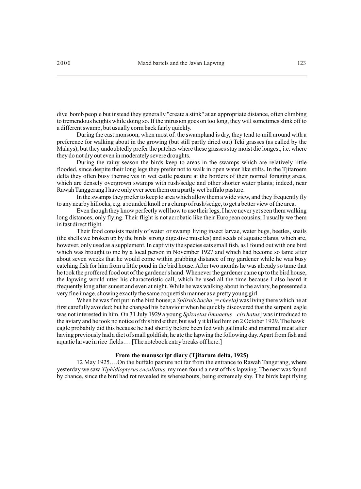dive bomb people but instead they generally "create a stink" at an appropriate distance, often climbing to tremendous heights while doing so. If the intrusion goes on too long, they will sometimes slink off to a different swamp, but usually corm back fairly quickly.

During the cast monsoon, when most of. the swampland is dry, they tend to mill around with a preference for walking about in the growing (but still partly dried out) Teki grasses (as called by the Malays), but they undoubtedly prefer the patches where these grasses stay moist die longest, i.e. where they do not dry out even in moderately severe droughts.

During the rainy season the birds keep to areas in the swamps which are relatively little flooded, since despite their long legs they prefer not to walk in open water like stilts. In the Tjitaroem delta they often busy themselves in wet cattle pasture at the borders of their normal foraging areas, which are densely overgrown swamps with rush/sedge and other shorter water plants; indeed, near Rawah Tanggerang I have only ever seen them on a partly wet buffalo pasture.

In the swamps they prefer to keep to area which allow them a wide view, and they frequently fly to any nearby hillocks, e.g. a rounded knoll or a clump of rush/sedge, to get a better view of the area.

Even though they know perfectly well how to use their legs, I have never yet seen them walking long distances, only flying. Their flight is not acrobatic like their European cousins; I usually we them in fast direct flight.

Their food consists mainly of water or swamp living insect larvae, water bugs, beetles, snails (the shells we broken up by the birds' strong digestive muscles) and seeds of aquatic plants, which are, however, only used as a supplement. In captivity the species eats small fish, as I found out with one bird which was brought to me by a local person in November 1927 and which had become so tame after about seven weeks that he would come within grabbing distance of my gardener while he was busy catching fish for him from a little pond in the bird house. After two months he was already so tame that he took the proffered food out of the gardener's hand. Whenever the gardener came up to the bird house, the lapwing would utter his characteristic call, which he used all the time because I also heard it frequently long after sunset and even at night. While he was walking about in the aviary, he presented a very fine image, showing exactly the same coquettish manner as a pretty young girl.

When be was first put in the bird house; a *Spilrnis bacha* [= *cheela*) was living there which he at first carefully avoided; but he changed his behaviour when he quickly discovered that the serpent eagle was not interested in him. On 31 July 1929 a young *Spizaetus limnaetus cirrhatus*] was introduced to the aviary and he took no notice of this bird either, but sadly it killed him on 2 October 1929. The hawk eagle probabily did this because he had shortly before been fed with gallinule and mammal meat after having previously had a diet of small goldfish; he ate the lapwing the following day. Apart from fish and aquatic larvae in rice fields ….[The notebook entry breaks off here.]

#### **From the manuscript diary (Tjitarum delta, 1925)**

12 May 1925….On the buffalo pasture not far from the entrance to Rawah Tangerang, where yesterday we saw *Xiphidiopterus cucullatus*, my men found a nest of this lapwing. The nest was found by chance, since the bird had rot revealed its whereabouts, being extremely shy. The birds kept flying